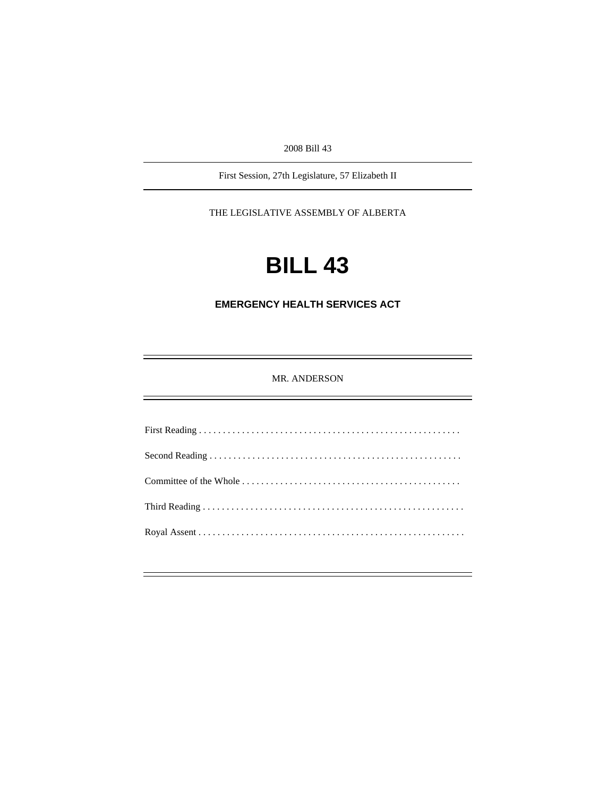2008 Bill 43

First Session, 27th Legislature, 57 Elizabeth II

THE LEGISLATIVE ASSEMBLY OF ALBERTA

# **BILL 43**

**EMERGENCY HEALTH SERVICES ACT** 

MR. ANDERSON

First Reading . . . . . . . . . . . . . . . . . . . . . . . . . . . . . . . . . . . . . . . . . . . . . . . . . . . . . . . Second Reading . . . . . . . . . . . . . . . . . . . . . . . . . . . . . . . . . . . . . . . . . . . . . . . . . . . . . Committee of the Whole . . . . . . . . . . . . . . . . . . . . . . . . . . . . . . . . . . . . . . . . . . . . . . Third Reading . . . . . . . . . . . . . . . . . . . . . . . . . . . . . . . . . . . . . . . . . . . . . . . . . . . . . . . Royal Assent . . . . . . . . . . . . . . . . . . . . . . . . . . . . . . . . . . . . . . . . . . . . . . . . . . . . . . . .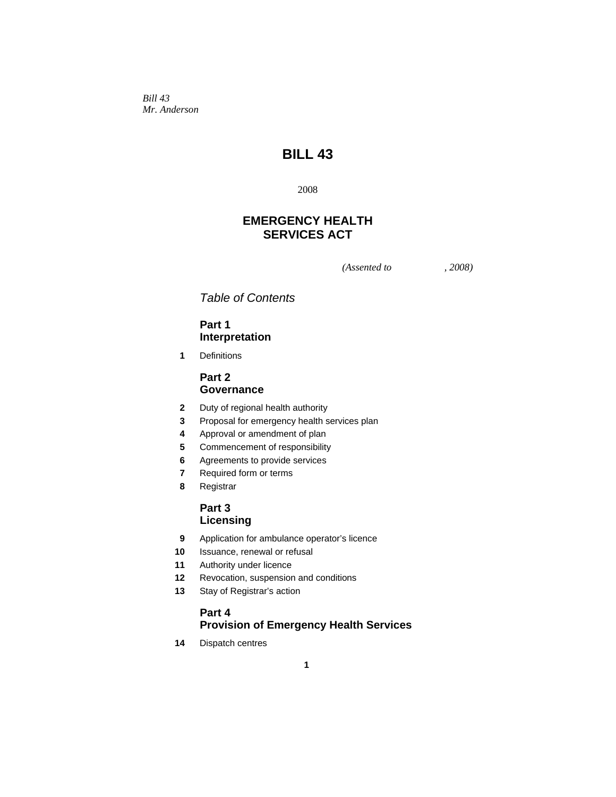*Bill 43 Mr. Anderson* 

# **BILL 43**

2008

# **EMERGENCY HEALTH SERVICES ACT**

*(Assented to , 2008)* 

*Table of Contents* 

## **Part 1 Interpretation**

 **1** Definitions

## **Part 2 Governance**

- **2** Duty of regional health authority
- **3** Proposal for emergency health services plan
- **4** Approval or amendment of plan
- **5** Commencement of responsibility
- **6** Agreements to provide services
- **7** Required form or terms
- **8** Registrar

## **Part 3 Licensing**

- **9** Application for ambulance operator's licence
- **10** Issuance, renewal or refusal
- **11** Authority under licence
- **12** Revocation, suspension and conditions
- **13** Stay of Registrar's action

## **Part 4 Provision of Emergency Health Services**

**14** Dispatch centres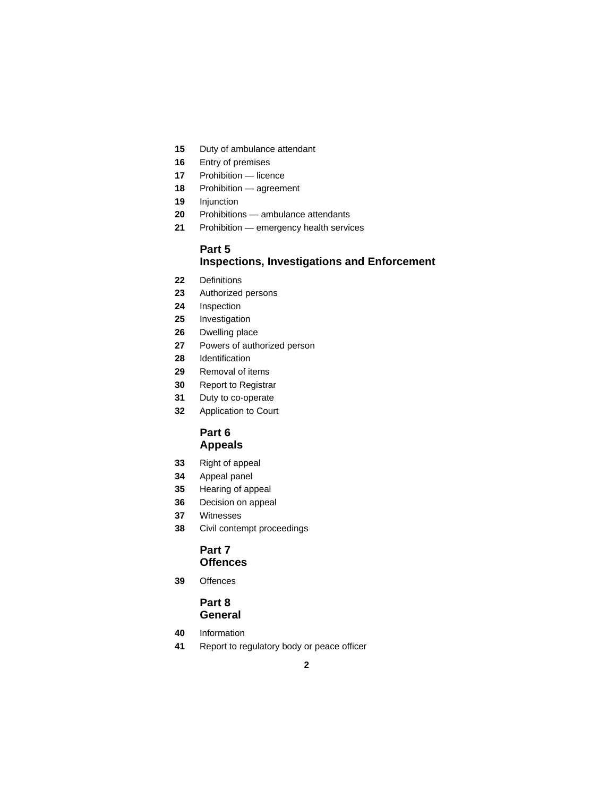- Duty of ambulance attendant
- Entry of premises
- Prohibition licence
- Prohibition agreement
- Injunction
- Prohibitions ambulance attendants
- Prohibition emergency health services

## **Part 5 Inspections, Investigations and Enforcement**

- Definitions
- Authorized persons
- Inspection
- Investigation
- Dwelling place
- Powers of authorized person
- Identification
- Removal of items
- Report to Registrar
- Duty to co-operate
- Application to Court

## **Part 6 Appeals**

- Right of appeal
- Appeal panel
- Hearing of appeal
- Decision on appeal
- Witnesses
- Civil contempt proceedings

### **Part 7 Offences**

Offences

## **Part 8 General**

- Information
- Report to regulatory body or peace officer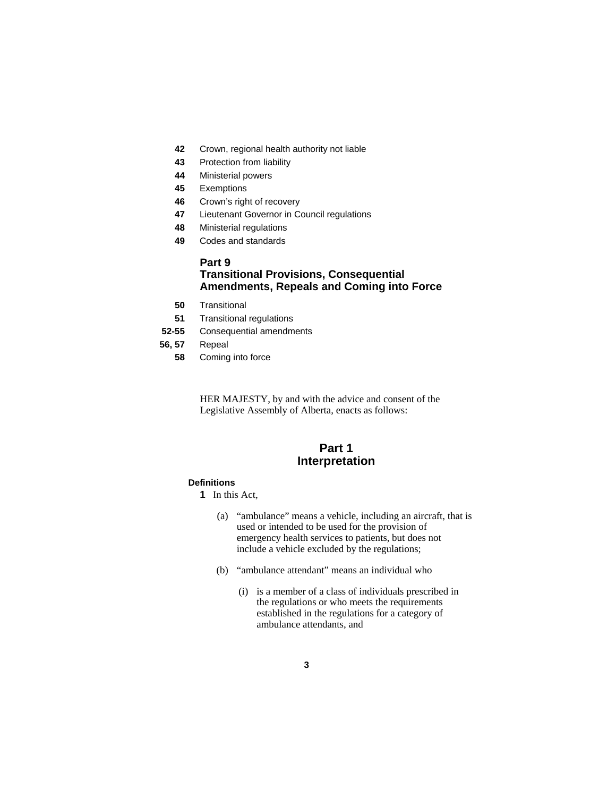- **42** Crown, regional health authority not liable
- **43** Protection from liability
- **44** Ministerial powers
- **45** Exemptions
- **46** Crown's right of recovery
- **47** Lieutenant Governor in Council regulations
- **48** Ministerial regulations
- **49** Codes and standards

## **Part 9 Transitional Provisions, Consequential Amendments, Repeals and Coming into Force**

- **50** Transitional
- **51** Transitional regulations
- **52-55** Consequential amendments
- **56, 57** Repeal
	- **58** Coming into force

HER MAJESTY, by and with the advice and consent of the Legislative Assembly of Alberta, enacts as follows:

# **Part 1 Interpretation**

#### **Definitions**

**1** In this Act,

- (a) "ambulance" means a vehicle, including an aircraft, that is used or intended to be used for the provision of emergency health services to patients, but does not include a vehicle excluded by the regulations;
- (b) "ambulance attendant" means an individual who
	- (i) is a member of a class of individuals prescribed in the regulations or who meets the requirements established in the regulations for a category of ambulance attendants, and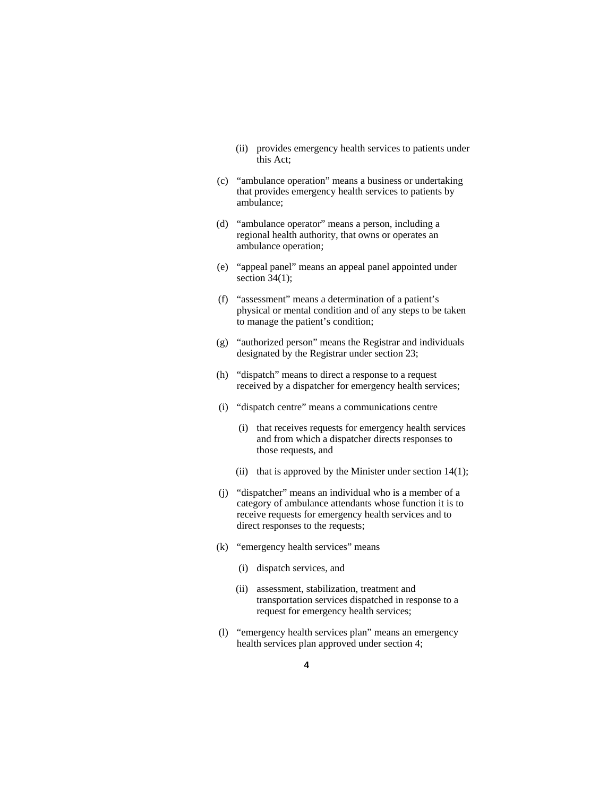- (ii) provides emergency health services to patients under this Act;
- (c) "ambulance operation" means a business or undertaking that provides emergency health services to patients by ambulance;
- (d) "ambulance operator" means a person, including a regional health authority, that owns or operates an ambulance operation;
- (e) "appeal panel" means an appeal panel appointed under section  $34(1)$ ;
- (f) "assessment" means a determination of a patient's physical or mental condition and of any steps to be taken to manage the patient's condition;
- (g) "authorized person" means the Registrar and individuals designated by the Registrar under section 23;
- (h) "dispatch" means to direct a response to a request received by a dispatcher for emergency health services;
- (i) "dispatch centre" means a communications centre
	- (i) that receives requests for emergency health services and from which a dispatcher directs responses to those requests, and
	- (ii) that is approved by the Minister under section  $14(1)$ ;
- (j) "dispatcher" means an individual who is a member of a category of ambulance attendants whose function it is to receive requests for emergency health services and to direct responses to the requests;
- (k) "emergency health services" means
	- (i) dispatch services, and
	- (ii) assessment, stabilization, treatment and transportation services dispatched in response to a request for emergency health services;
- (l) "emergency health services plan" means an emergency health services plan approved under section 4;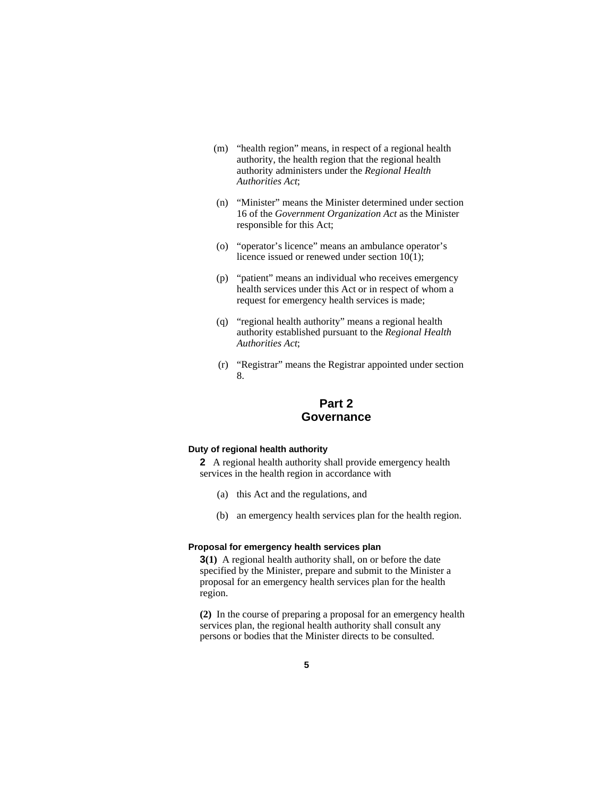- (m) "health region" means, in respect of a regional health authority, the health region that the regional health authority administers under the *Regional Health Authorities Act*;
- (n) "Minister" means the Minister determined under section 16 of the *Government Organization Act* as the Minister responsible for this Act;
- (o) "operator's licence" means an ambulance operator's licence issued or renewed under section 10(1);
- (p) "patient" means an individual who receives emergency health services under this Act or in respect of whom a request for emergency health services is made;
- (q) "regional health authority" means a regional health authority established pursuant to the *Regional Health Authorities Act*;
- (r) "Registrar" means the Registrar appointed under section 8.

# **Part 2 Governance**

#### **Duty of regional health authority**

**2** A regional health authority shall provide emergency health services in the health region in accordance with

- (a) this Act and the regulations, and
- (b) an emergency health services plan for the health region.

#### **Proposal for emergency health services plan**

**3(1)** A regional health authority shall, on or before the date specified by the Minister, prepare and submit to the Minister a proposal for an emergency health services plan for the health region.

**(2)** In the course of preparing a proposal for an emergency health services plan, the regional health authority shall consult any persons or bodies that the Minister directs to be consulted.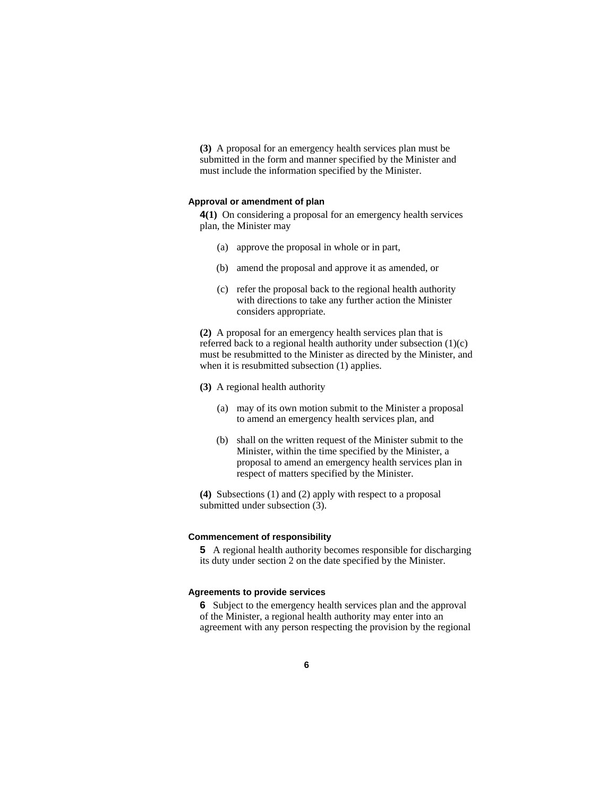**(3)** A proposal for an emergency health services plan must be submitted in the form and manner specified by the Minister and must include the information specified by the Minister.

#### **Approval or amendment of plan**

**4(1)** On considering a proposal for an emergency health services plan, the Minister may

- (a) approve the proposal in whole or in part,
- (b) amend the proposal and approve it as amended, or
- (c) refer the proposal back to the regional health authority with directions to take any further action the Minister considers appropriate.

**(2)** A proposal for an emergency health services plan that is referred back to a regional health authority under subsection (1)(c) must be resubmitted to the Minister as directed by the Minister, and when it is resubmitted subsection (1) applies.

#### **(3)** A regional health authority

- (a) may of its own motion submit to the Minister a proposal to amend an emergency health services plan, and
- (b) shall on the written request of the Minister submit to the Minister, within the time specified by the Minister, a proposal to amend an emergency health services plan in respect of matters specified by the Minister.

**(4)** Subsections (1) and (2) apply with respect to a proposal submitted under subsection (3).

#### **Commencement of responsibility**

**5** A regional health authority becomes responsible for discharging its duty under section 2 on the date specified by the Minister.

#### **Agreements to provide services**

**6** Subject to the emergency health services plan and the approval of the Minister, a regional health authority may enter into an agreement with any person respecting the provision by the regional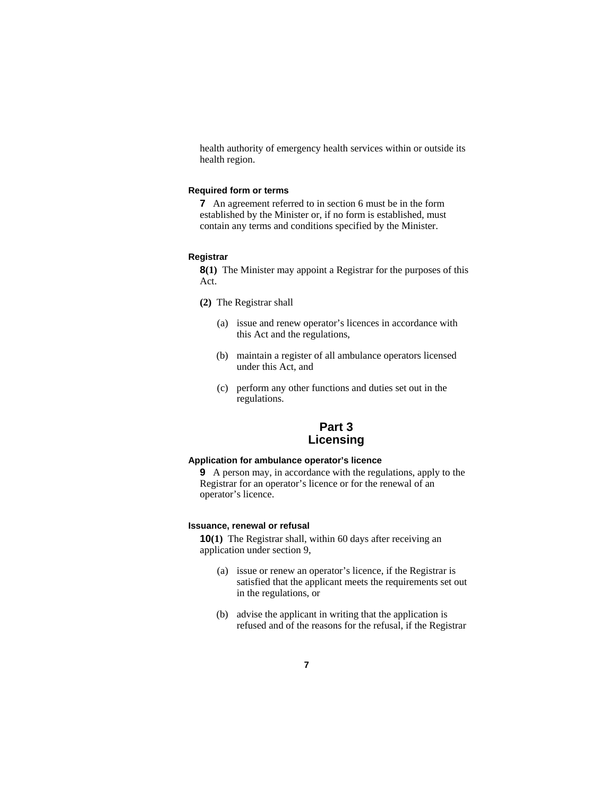health authority of emergency health services within or outside its health region.

#### **Required form or terms**

**7** An agreement referred to in section 6 must be in the form established by the Minister or, if no form is established, must contain any terms and conditions specified by the Minister.

#### **Registrar**

**8(1)** The Minister may appoint a Registrar for the purposes of this Act.

- **(2)** The Registrar shall
	- (a) issue and renew operator's licences in accordance with this Act and the regulations,
	- (b) maintain a register of all ambulance operators licensed under this Act, and
	- (c) perform any other functions and duties set out in the regulations.

# **Part 3 Licensing**

#### **Application for ambulance operator's licence**

**9** A person may, in accordance with the regulations, apply to the Registrar for an operator's licence or for the renewal of an operator's licence.

#### **Issuance, renewal or refusal**

**10(1)** The Registrar shall, within 60 days after receiving an application under section 9,

- (a) issue or renew an operator's licence, if the Registrar is satisfied that the applicant meets the requirements set out in the regulations, or
- (b) advise the applicant in writing that the application is refused and of the reasons for the refusal, if the Registrar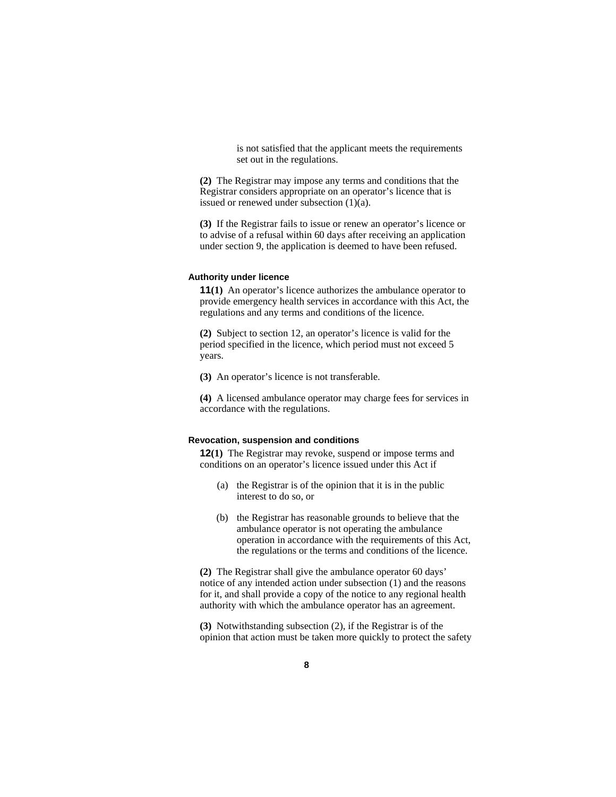is not satisfied that the applicant meets the requirements set out in the regulations.

**(2)** The Registrar may impose any terms and conditions that the Registrar considers appropriate on an operator's licence that is issued or renewed under subsection (1)(a).

**(3)** If the Registrar fails to issue or renew an operator's licence or to advise of a refusal within 60 days after receiving an application under section 9, the application is deemed to have been refused.

#### **Authority under licence**

**11(1)** An operator's licence authorizes the ambulance operator to provide emergency health services in accordance with this Act, the regulations and any terms and conditions of the licence.

**(2)** Subject to section 12, an operator's licence is valid for the period specified in the licence, which period must not exceed 5 years.

**(3)** An operator's licence is not transferable.

**(4)** A licensed ambulance operator may charge fees for services in accordance with the regulations.

#### **Revocation, suspension and conditions**

**12(1)** The Registrar may revoke, suspend or impose terms and conditions on an operator's licence issued under this Act if

- (a) the Registrar is of the opinion that it is in the public interest to do so, or
- (b) the Registrar has reasonable grounds to believe that the ambulance operator is not operating the ambulance operation in accordance with the requirements of this Act, the regulations or the terms and conditions of the licence.

**(2)** The Registrar shall give the ambulance operator 60 days' notice of any intended action under subsection (1) and the reasons for it, and shall provide a copy of the notice to any regional health authority with which the ambulance operator has an agreement.

**(3)** Notwithstanding subsection (2), if the Registrar is of the opinion that action must be taken more quickly to protect the safety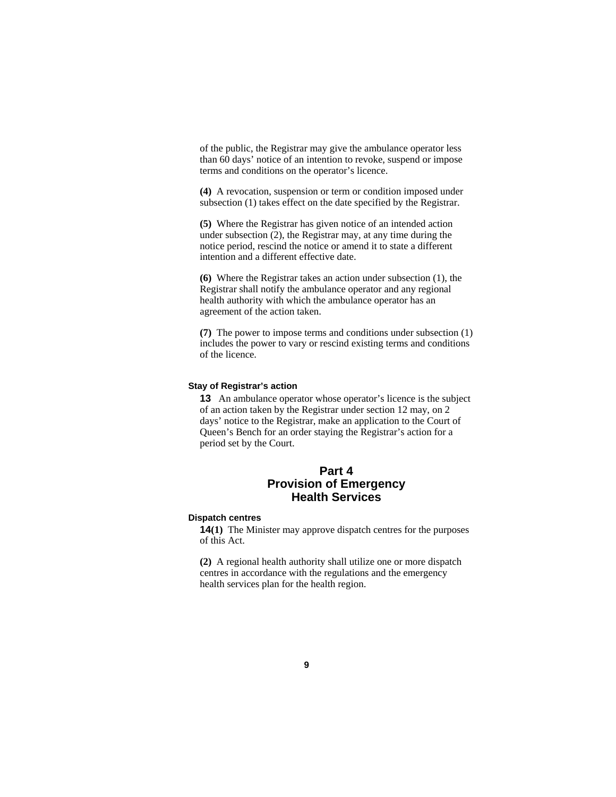of the public, the Registrar may give the ambulance operator less than 60 days' notice of an intention to revoke, suspend or impose terms and conditions on the operator's licence.

**(4)** A revocation, suspension or term or condition imposed under subsection (1) takes effect on the date specified by the Registrar.

**(5)** Where the Registrar has given notice of an intended action under subsection (2), the Registrar may, at any time during the notice period, rescind the notice or amend it to state a different intention and a different effective date.

**(6)** Where the Registrar takes an action under subsection (1), the Registrar shall notify the ambulance operator and any regional health authority with which the ambulance operator has an agreement of the action taken.

**(7)** The power to impose terms and conditions under subsection (1) includes the power to vary or rescind existing terms and conditions of the licence.

#### **Stay of Registrar's action**

**13** An ambulance operator whose operator's licence is the subject of an action taken by the Registrar under section 12 may, on 2 days' notice to the Registrar, make an application to the Court of Queen's Bench for an order staying the Registrar's action for a period set by the Court.

# **Part 4 Provision of Emergency Health Services**

#### **Dispatch centres**

**14(1)** The Minister may approve dispatch centres for the purposes of this Act.

**(2)** A regional health authority shall utilize one or more dispatch centres in accordance with the regulations and the emergency health services plan for the health region.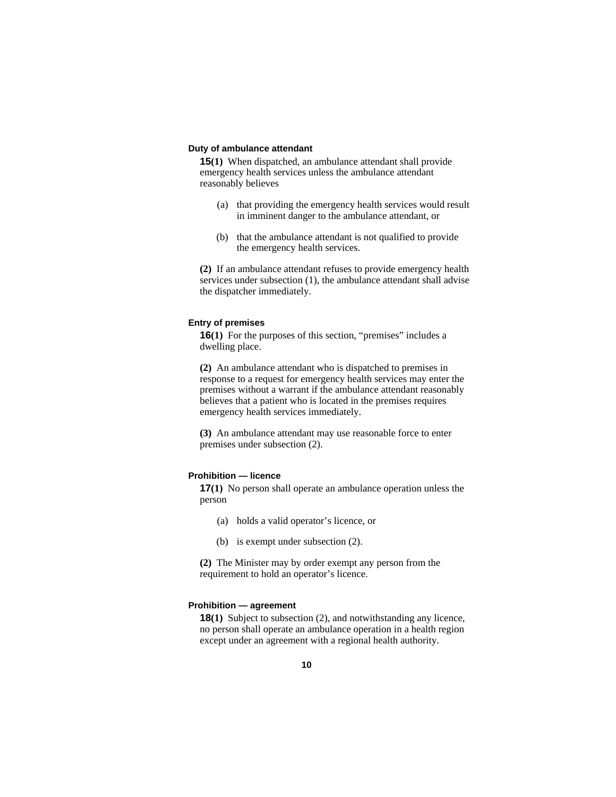#### **Duty of ambulance attendant**

**15(1)** When dispatched, an ambulance attendant shall provide emergency health services unless the ambulance attendant reasonably believes

- (a) that providing the emergency health services would result in imminent danger to the ambulance attendant, or
- (b) that the ambulance attendant is not qualified to provide the emergency health services.

**(2)** If an ambulance attendant refuses to provide emergency health services under subsection (1), the ambulance attendant shall advise the dispatcher immediately.

#### **Entry of premises**

**16**(1) For the purposes of this section, "premises" includes a dwelling place.

**(2)** An ambulance attendant who is dispatched to premises in response to a request for emergency health services may enter the premises without a warrant if the ambulance attendant reasonably believes that a patient who is located in the premises requires emergency health services immediately.

**(3)** An ambulance attendant may use reasonable force to enter premises under subsection (2).

#### **Prohibition — licence**

**17(1)** No person shall operate an ambulance operation unless the person

- (a) holds a valid operator's licence, or
- (b) is exempt under subsection (2).

**(2)** The Minister may by order exempt any person from the requirement to hold an operator's licence.

#### **Prohibition — agreement**

**18(1)** Subject to subsection (2), and notwithstanding any licence, no person shall operate an ambulance operation in a health region except under an agreement with a regional health authority.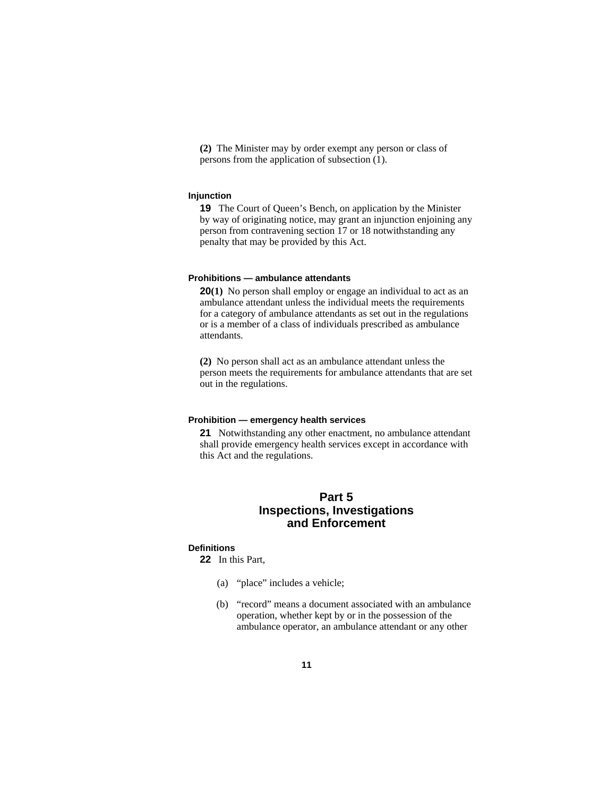**(2)** The Minister may by order exempt any person or class of persons from the application of subsection (1).

#### **Injunction**

**19** The Court of Queen's Bench, on application by the Minister by way of originating notice, may grant an injunction enjoining any person from contravening section 17 or 18 notwithstanding any penalty that may be provided by this Act.

#### **Prohibitions — ambulance attendants**

**20(1)** No person shall employ or engage an individual to act as an ambulance attendant unless the individual meets the requirements for a category of ambulance attendants as set out in the regulations or is a member of a class of individuals prescribed as ambulance attendants.

**(2)** No person shall act as an ambulance attendant unless the person meets the requirements for ambulance attendants that are set out in the regulations.

#### **Prohibition — emergency health services**

**21** Notwithstanding any other enactment, no ambulance attendant shall provide emergency health services except in accordance with this Act and the regulations.

# **Part 5 Inspections, Investigations and Enforcement**

#### **Definitions**

**22** In this Part,

- (a) "place" includes a vehicle;
- (b) "record" means a document associated with an ambulance operation, whether kept by or in the possession of the ambulance operator, an ambulance attendant or any other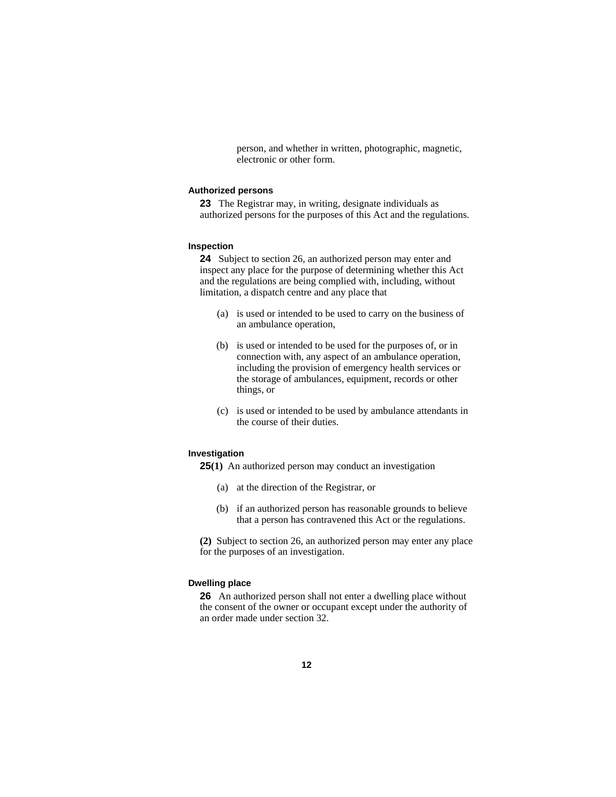person, and whether in written, photographic, magnetic, electronic or other form.

#### **Authorized persons**

**23** The Registrar may, in writing, designate individuals as authorized persons for the purposes of this Act and the regulations.

#### **Inspection**

**24** Subject to section 26, an authorized person may enter and inspect any place for the purpose of determining whether this Act and the regulations are being complied with, including, without limitation, a dispatch centre and any place that

- (a) is used or intended to be used to carry on the business of an ambulance operation,
- (b) is used or intended to be used for the purposes of, or in connection with, any aspect of an ambulance operation, including the provision of emergency health services or the storage of ambulances, equipment, records or other things, or
- (c) is used or intended to be used by ambulance attendants in the course of their duties.

#### **Investigation**

**25(1)** An authorized person may conduct an investigation

- (a) at the direction of the Registrar, or
- (b) if an authorized person has reasonable grounds to believe that a person has contravened this Act or the regulations.

**(2)** Subject to section 26, an authorized person may enter any place for the purposes of an investigation.

#### **Dwelling place**

**26** An authorized person shall not enter a dwelling place without the consent of the owner or occupant except under the authority of an order made under section 32.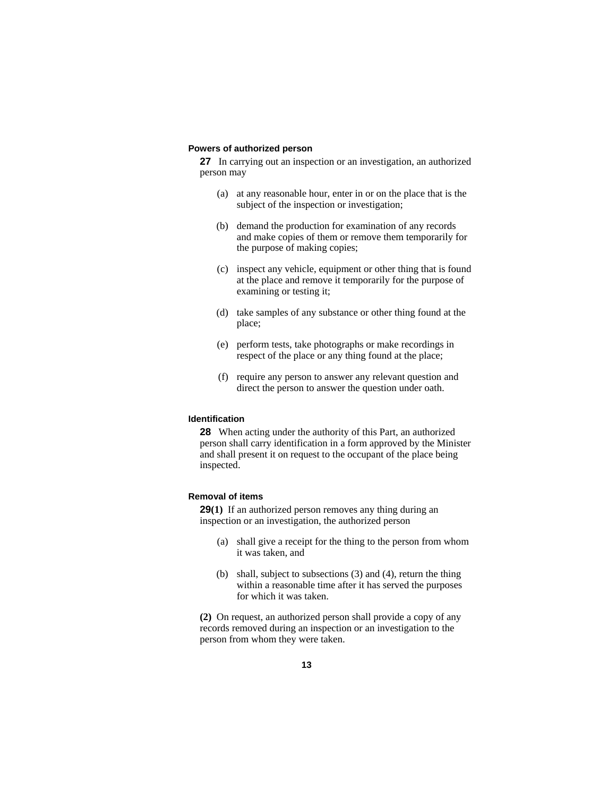#### **Powers of authorized person**

**27** In carrying out an inspection or an investigation, an authorized person may

- (a) at any reasonable hour, enter in or on the place that is the subject of the inspection or investigation;
- (b) demand the production for examination of any records and make copies of them or remove them temporarily for the purpose of making copies;
- (c) inspect any vehicle, equipment or other thing that is found at the place and remove it temporarily for the purpose of examining or testing it;
- (d) take samples of any substance or other thing found at the place;
- (e) perform tests, take photographs or make recordings in respect of the place or any thing found at the place;
- (f) require any person to answer any relevant question and direct the person to answer the question under oath.

#### **Identification**

**28** When acting under the authority of this Part, an authorized person shall carry identification in a form approved by the Minister and shall present it on request to the occupant of the place being inspected.

#### **Removal of items**

**29(1)** If an authorized person removes any thing during an inspection or an investigation, the authorized person

- (a) shall give a receipt for the thing to the person from whom it was taken, and
- (b) shall, subject to subsections (3) and (4), return the thing within a reasonable time after it has served the purposes for which it was taken.

**(2)** On request, an authorized person shall provide a copy of any records removed during an inspection or an investigation to the person from whom they were taken.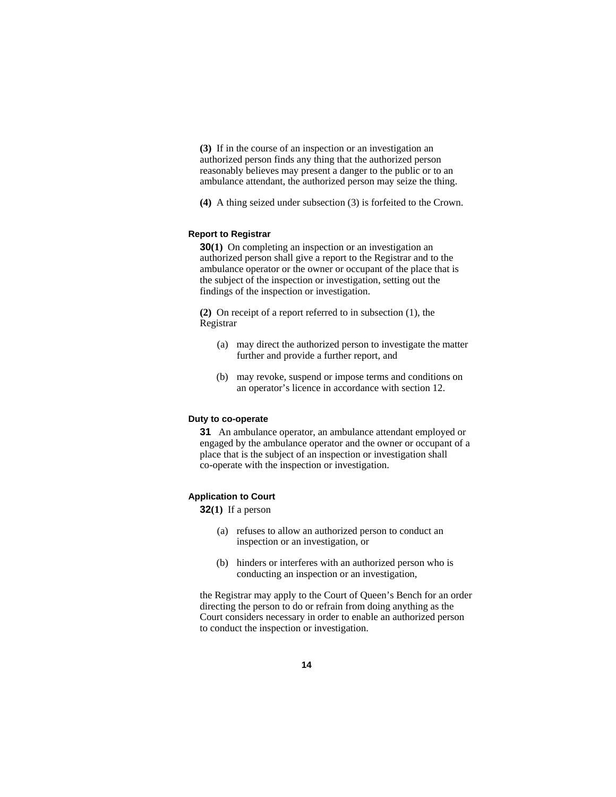**(3)** If in the course of an inspection or an investigation an authorized person finds any thing that the authorized person reasonably believes may present a danger to the public or to an ambulance attendant, the authorized person may seize the thing.

**(4)** A thing seized under subsection (3) is forfeited to the Crown.

#### **Report to Registrar**

**30(1)** On completing an inspection or an investigation an authorized person shall give a report to the Registrar and to the ambulance operator or the owner or occupant of the place that is the subject of the inspection or investigation, setting out the findings of the inspection or investigation.

**(2)** On receipt of a report referred to in subsection (1), the Registrar

- (a) may direct the authorized person to investigate the matter further and provide a further report, and
- (b) may revoke, suspend or impose terms and conditions on an operator's licence in accordance with section 12.

#### **Duty to co-operate**

**31** An ambulance operator, an ambulance attendant employed or engaged by the ambulance operator and the owner or occupant of a place that is the subject of an inspection or investigation shall co-operate with the inspection or investigation.

#### **Application to Court**

**32(1)** If a person

- (a) refuses to allow an authorized person to conduct an inspection or an investigation, or
- (b) hinders or interferes with an authorized person who is conducting an inspection or an investigation,

the Registrar may apply to the Court of Queen's Bench for an order directing the person to do or refrain from doing anything as the Court considers necessary in order to enable an authorized person to conduct the inspection or investigation.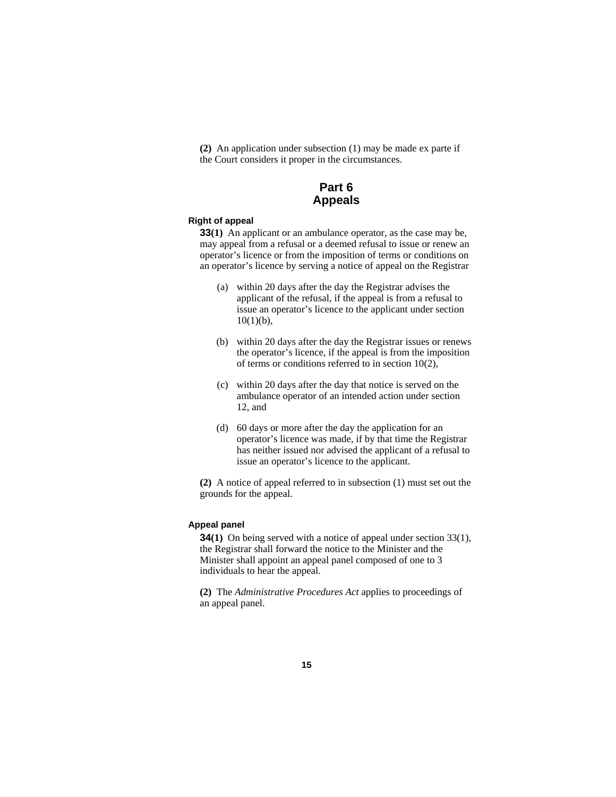**(2)** An application under subsection (1) may be made ex parte if the Court considers it proper in the circumstances.

## **Part 6 Appeals**

#### **Right of appeal**

**33(1)** An applicant or an ambulance operator, as the case may be, may appeal from a refusal or a deemed refusal to issue or renew an operator's licence or from the imposition of terms or conditions on an operator's licence by serving a notice of appeal on the Registrar

- (a) within 20 days after the day the Registrar advises the applicant of the refusal, if the appeal is from a refusal to issue an operator's licence to the applicant under section  $10(1)(b)$ ,
- (b) within 20 days after the day the Registrar issues or renews the operator's licence, if the appeal is from the imposition of terms or conditions referred to in section 10(2),
- (c) within 20 days after the day that notice is served on the ambulance operator of an intended action under section 12, and
- (d) 60 days or more after the day the application for an operator's licence was made, if by that time the Registrar has neither issued nor advised the applicant of a refusal to issue an operator's licence to the applicant.

**(2)** A notice of appeal referred to in subsection (1) must set out the grounds for the appeal.

#### **Appeal panel**

**34(1)** On being served with a notice of appeal under section 33(1), the Registrar shall forward the notice to the Minister and the Minister shall appoint an appeal panel composed of one to 3 individuals to hear the appeal.

**(2)** The *Administrative Procedures Act* applies to proceedings of an appeal panel.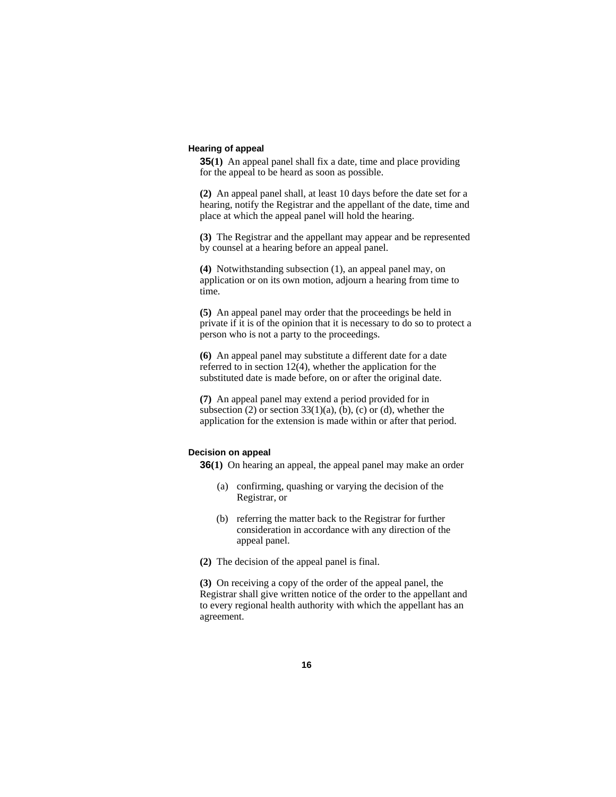#### **Hearing of appeal**

**35(1)** An appeal panel shall fix a date, time and place providing for the appeal to be heard as soon as possible.

**(2)** An appeal panel shall, at least 10 days before the date set for a hearing, notify the Registrar and the appellant of the date, time and place at which the appeal panel will hold the hearing.

**(3)** The Registrar and the appellant may appear and be represented by counsel at a hearing before an appeal panel.

**(4)** Notwithstanding subsection (1), an appeal panel may, on application or on its own motion, adjourn a hearing from time to time.

**(5)** An appeal panel may order that the proceedings be held in private if it is of the opinion that it is necessary to do so to protect a person who is not a party to the proceedings.

**(6)** An appeal panel may substitute a different date for a date referred to in section 12(4), whether the application for the substituted date is made before, on or after the original date.

**(7)** An appeal panel may extend a period provided for in subsection  $(2)$  or section  $33(1)(a)$ ,  $(b)$ ,  $(c)$  or  $(d)$ , whether the application for the extension is made within or after that period.

#### **Decision on appeal**

**36(1)** On hearing an appeal, the appeal panel may make an order

- (a) confirming, quashing or varying the decision of the Registrar, or
- (b) referring the matter back to the Registrar for further consideration in accordance with any direction of the appeal panel.
- **(2)** The decision of the appeal panel is final.

**(3)** On receiving a copy of the order of the appeal panel, the Registrar shall give written notice of the order to the appellant and to every regional health authority with which the appellant has an agreement.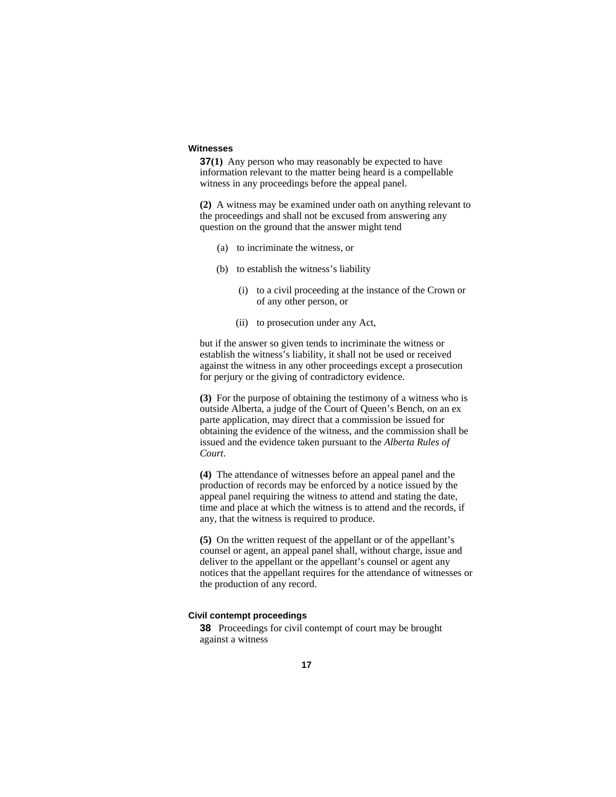#### **Witnesses**

**37(1)** Any person who may reasonably be expected to have information relevant to the matter being heard is a compellable witness in any proceedings before the appeal panel.

**(2)** A witness may be examined under oath on anything relevant to the proceedings and shall not be excused from answering any question on the ground that the answer might tend

- (a) to incriminate the witness, or
- (b) to establish the witness's liability
	- (i) to a civil proceeding at the instance of the Crown or of any other person, or
	- (ii) to prosecution under any Act,

but if the answer so given tends to incriminate the witness or establish the witness's liability, it shall not be used or received against the witness in any other proceedings except a prosecution for perjury or the giving of contradictory evidence.

**(3)** For the purpose of obtaining the testimony of a witness who is outside Alberta, a judge of the Court of Queen's Bench, on an ex parte application, may direct that a commission be issued for obtaining the evidence of the witness, and the commission shall be issued and the evidence taken pursuant to the *Alberta Rules of Court*.

**(4)** The attendance of witnesses before an appeal panel and the production of records may be enforced by a notice issued by the appeal panel requiring the witness to attend and stating the date, time and place at which the witness is to attend and the records, if any, that the witness is required to produce.

**(5)** On the written request of the appellant or of the appellant's counsel or agent, an appeal panel shall, without charge, issue and deliver to the appellant or the appellant's counsel or agent any notices that the appellant requires for the attendance of witnesses or the production of any record.

#### **Civil contempt proceedings**

**38** Proceedings for civil contempt of court may be brought against a witness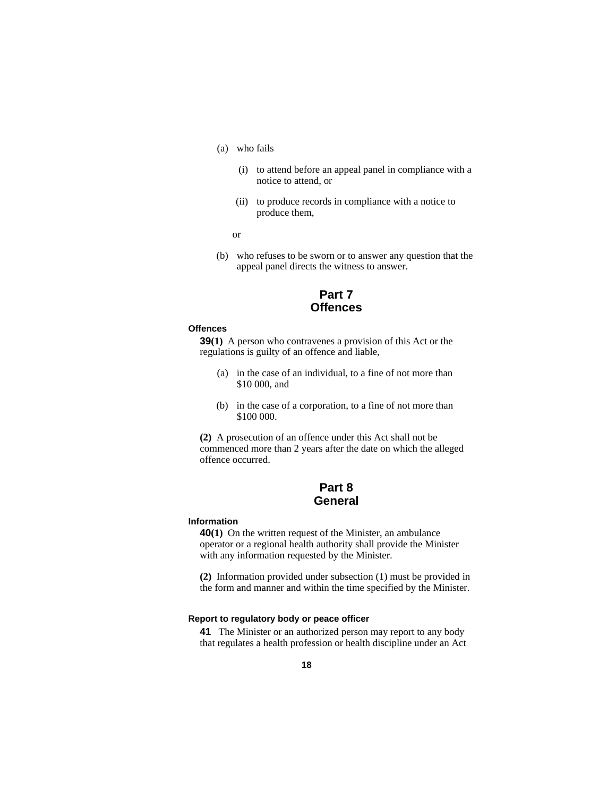- (a) who fails
	- (i) to attend before an appeal panel in compliance with a notice to attend, or
	- (ii) to produce records in compliance with a notice to produce them,
- or
	- (b) who refuses to be sworn or to answer any question that the appeal panel directs the witness to answer.

# **Part 7 Offences**

#### **Offences**

**39(1)** A person who contravenes a provision of this Act or the regulations is guilty of an offence and liable,

- (a) in the case of an individual, to a fine of not more than \$10 000, and
- (b) in the case of a corporation, to a fine of not more than \$100 000.

**(2)** A prosecution of an offence under this Act shall not be commenced more than 2 years after the date on which the alleged offence occurred.

## **Part 8 General**

#### **Information**

**40(1)** On the written request of the Minister, an ambulance operator or a regional health authority shall provide the Minister with any information requested by the Minister.

**(2)** Information provided under subsection (1) must be provided in the form and manner and within the time specified by the Minister.

#### **Report to regulatory body or peace officer**

**41** The Minister or an authorized person may report to any body that regulates a health profession or health discipline under an Act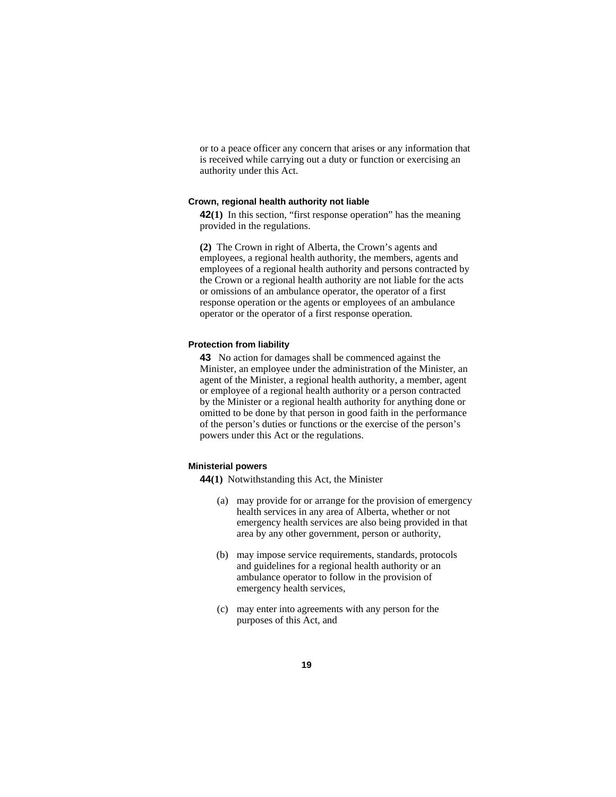or to a peace officer any concern that arises or any information that is received while carrying out a duty or function or exercising an authority under this Act.

#### **Crown, regional health authority not liable**

**42(1)** In this section, "first response operation" has the meaning provided in the regulations.

**(2)** The Crown in right of Alberta, the Crown's agents and employees, a regional health authority, the members, agents and employees of a regional health authority and persons contracted by the Crown or a regional health authority are not liable for the acts or omissions of an ambulance operator, the operator of a first response operation or the agents or employees of an ambulance operator or the operator of a first response operation.

#### **Protection from liability**

**43** No action for damages shall be commenced against the Minister, an employee under the administration of the Minister, an agent of the Minister, a regional health authority, a member, agent or employee of a regional health authority or a person contracted by the Minister or a regional health authority for anything done or omitted to be done by that person in good faith in the performance of the person's duties or functions or the exercise of the person's powers under this Act or the regulations.

#### **Ministerial powers**

**44(1)** Notwithstanding this Act, the Minister

- (a) may provide for or arrange for the provision of emergency health services in any area of Alberta, whether or not emergency health services are also being provided in that area by any other government, person or authority,
- (b) may impose service requirements, standards, protocols and guidelines for a regional health authority or an ambulance operator to follow in the provision of emergency health services,
- (c) may enter into agreements with any person for the purposes of this Act, and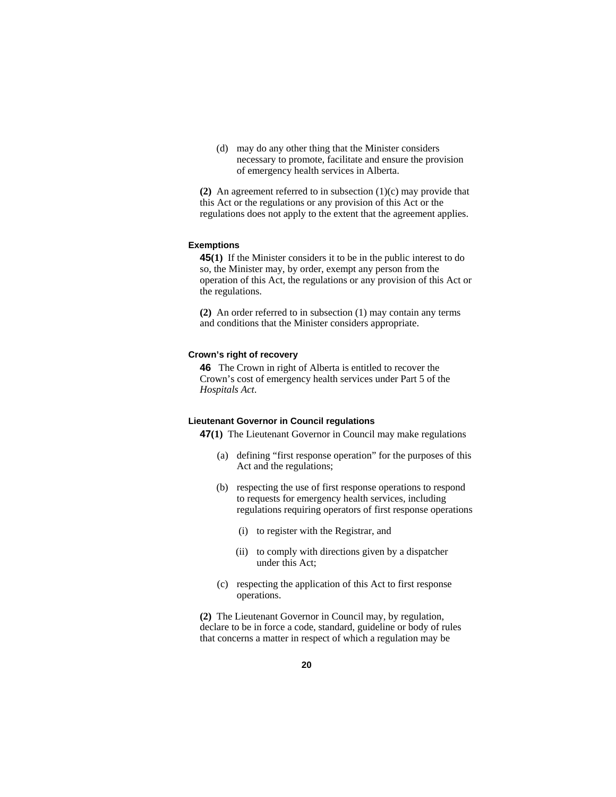(d) may do any other thing that the Minister considers necessary to promote, facilitate and ensure the provision of emergency health services in Alberta.

**(2)** An agreement referred to in subsection (1)(c) may provide that this Act or the regulations or any provision of this Act or the regulations does not apply to the extent that the agreement applies.

#### **Exemptions**

**45(1)** If the Minister considers it to be in the public interest to do so, the Minister may, by order, exempt any person from the operation of this Act, the regulations or any provision of this Act or the regulations.

**(2)** An order referred to in subsection (1) may contain any terms and conditions that the Minister considers appropriate.

#### **Crown's right of recovery**

**46** The Crown in right of Alberta is entitled to recover the Crown's cost of emergency health services under Part 5 of the *Hospitals Act*.

#### **Lieutenant Governor in Council regulations**

**47(1)** The Lieutenant Governor in Council may make regulations

- (a) defining "first response operation" for the purposes of this Act and the regulations;
- (b) respecting the use of first response operations to respond to requests for emergency health services, including regulations requiring operators of first response operations
	- (i) to register with the Registrar, and
	- (ii) to comply with directions given by a dispatcher under this Act;
- (c) respecting the application of this Act to first response operations.

**(2)** The Lieutenant Governor in Council may, by regulation, declare to be in force a code, standard, guideline or body of rules that concerns a matter in respect of which a regulation may be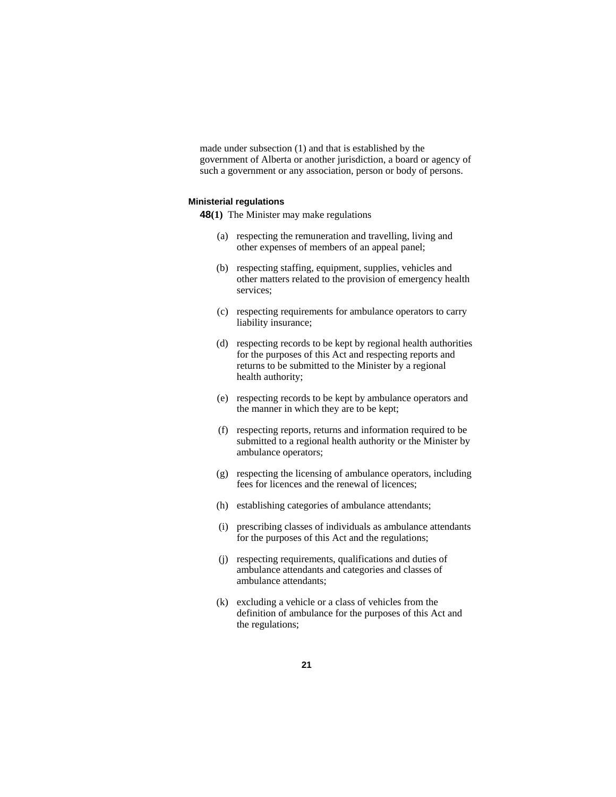made under subsection (1) and that is established by the government of Alberta or another jurisdiction, a board or agency of such a government or any association, person or body of persons.

#### **Ministerial regulations**

**48(1)** The Minister may make regulations

- (a) respecting the remuneration and travelling, living and other expenses of members of an appeal panel;
- (b) respecting staffing, equipment, supplies, vehicles and other matters related to the provision of emergency health services;
- (c) respecting requirements for ambulance operators to carry liability insurance;
- (d) respecting records to be kept by regional health authorities for the purposes of this Act and respecting reports and returns to be submitted to the Minister by a regional health authority;
- (e) respecting records to be kept by ambulance operators and the manner in which they are to be kept;
- (f) respecting reports, returns and information required to be submitted to a regional health authority or the Minister by ambulance operators;
- (g) respecting the licensing of ambulance operators, including fees for licences and the renewal of licences;
- (h) establishing categories of ambulance attendants;
- (i) prescribing classes of individuals as ambulance attendants for the purposes of this Act and the regulations;
- (j) respecting requirements, qualifications and duties of ambulance attendants and categories and classes of ambulance attendants;
- (k) excluding a vehicle or a class of vehicles from the definition of ambulance for the purposes of this Act and the regulations;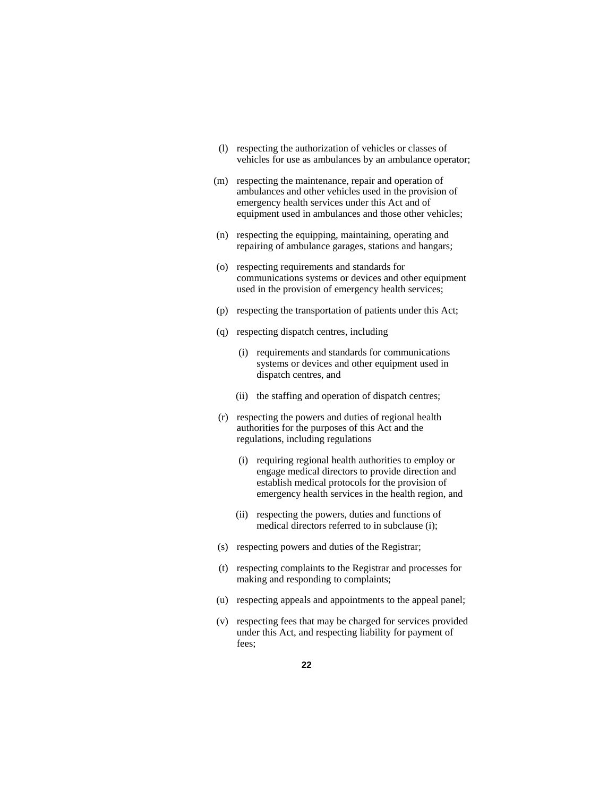- (l) respecting the authorization of vehicles or classes of vehicles for use as ambulances by an ambulance operator;
- (m) respecting the maintenance, repair and operation of ambulances and other vehicles used in the provision of emergency health services under this Act and of equipment used in ambulances and those other vehicles;
- (n) respecting the equipping, maintaining, operating and repairing of ambulance garages, stations and hangars;
- (o) respecting requirements and standards for communications systems or devices and other equipment used in the provision of emergency health services;
- (p) respecting the transportation of patients under this Act;
- (q) respecting dispatch centres, including
	- (i) requirements and standards for communications systems or devices and other equipment used in dispatch centres, and
	- (ii) the staffing and operation of dispatch centres;
- (r) respecting the powers and duties of regional health authorities for the purposes of this Act and the regulations, including regulations
	- (i) requiring regional health authorities to employ or engage medical directors to provide direction and establish medical protocols for the provision of emergency health services in the health region, and
	- (ii) respecting the powers, duties and functions of medical directors referred to in subclause (i);
- (s) respecting powers and duties of the Registrar;
- (t) respecting complaints to the Registrar and processes for making and responding to complaints;
- (u) respecting appeals and appointments to the appeal panel;
- (v) respecting fees that may be charged for services provided under this Act, and respecting liability for payment of fees;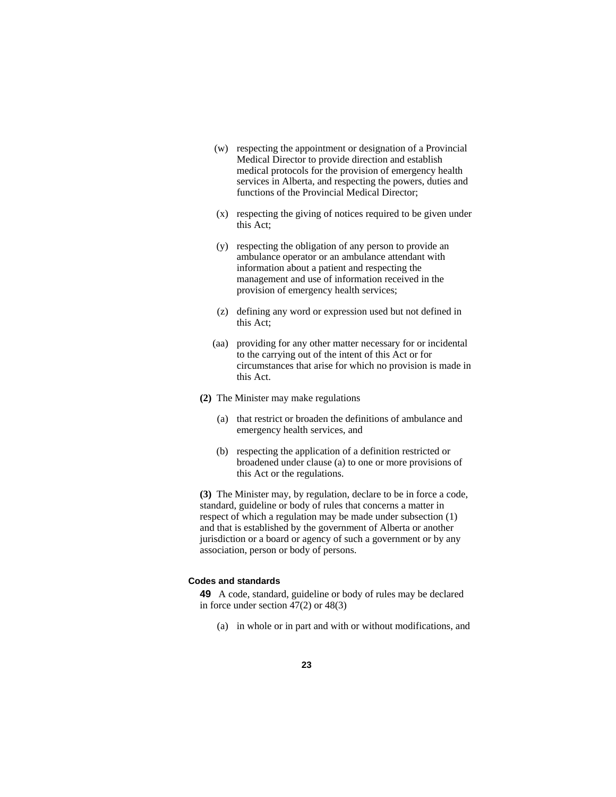- (w) respecting the appointment or designation of a Provincial Medical Director to provide direction and establish medical protocols for the provision of emergency health services in Alberta, and respecting the powers, duties and functions of the Provincial Medical Director;
- (x) respecting the giving of notices required to be given under this Act;
- (y) respecting the obligation of any person to provide an ambulance operator or an ambulance attendant with information about a patient and respecting the management and use of information received in the provision of emergency health services;
- (z) defining any word or expression used but not defined in this Act;
- (aa) providing for any other matter necessary for or incidental to the carrying out of the intent of this Act or for circumstances that arise for which no provision is made in this Act.
- **(2)** The Minister may make regulations
	- (a) that restrict or broaden the definitions of ambulance and emergency health services, and
	- (b) respecting the application of a definition restricted or broadened under clause (a) to one or more provisions of this Act or the regulations.

**(3)** The Minister may, by regulation, declare to be in force a code, standard, guideline or body of rules that concerns a matter in respect of which a regulation may be made under subsection (1) and that is established by the government of Alberta or another jurisdiction or a board or agency of such a government or by any association, person or body of persons.

#### **Codes and standards**

**49** A code, standard, guideline or body of rules may be declared in force under section 47(2) or 48(3)

(a) in whole or in part and with or without modifications, and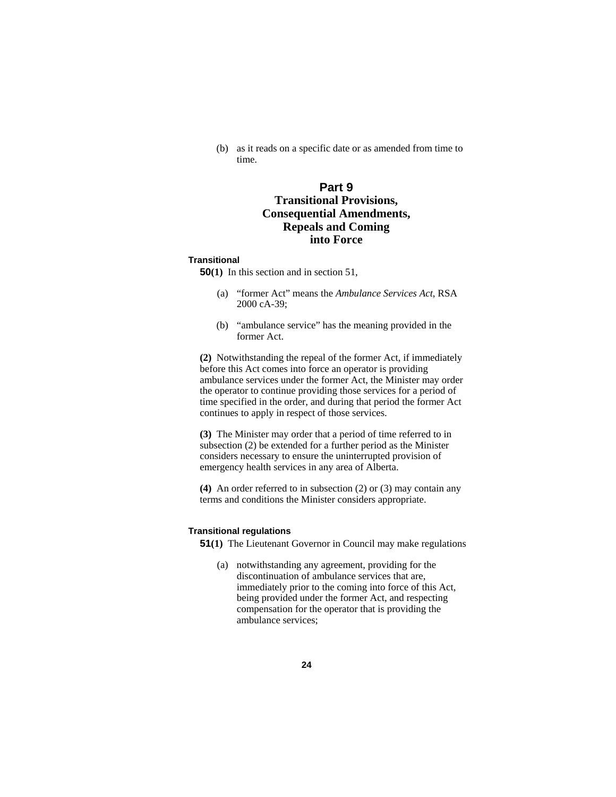(b) as it reads on a specific date or as amended from time to time.

## **Part 9 Transitional Provisions, Consequential Amendments, Repeals and Coming into Force**

#### **Transitional**

**50(1)** In this section and in section 51,

- (a) "former Act" means the *Ambulance Services Act*, RSA 2000 cA-39;
- (b) "ambulance service" has the meaning provided in the former Act.

**(2)** Notwithstanding the repeal of the former Act, if immediately before this Act comes into force an operator is providing ambulance services under the former Act, the Minister may order the operator to continue providing those services for a period of time specified in the order, and during that period the former Act continues to apply in respect of those services.

**(3)** The Minister may order that a period of time referred to in subsection (2) be extended for a further period as the Minister considers necessary to ensure the uninterrupted provision of emergency health services in any area of Alberta.

**(4)** An order referred to in subsection (2) or (3) may contain any terms and conditions the Minister considers appropriate.

#### **Transitional regulations**

**51(1)** The Lieutenant Governor in Council may make regulations

(a) notwithstanding any agreement, providing for the discontinuation of ambulance services that are, immediately prior to the coming into force of this Act, being provided under the former Act, and respecting compensation for the operator that is providing the ambulance services;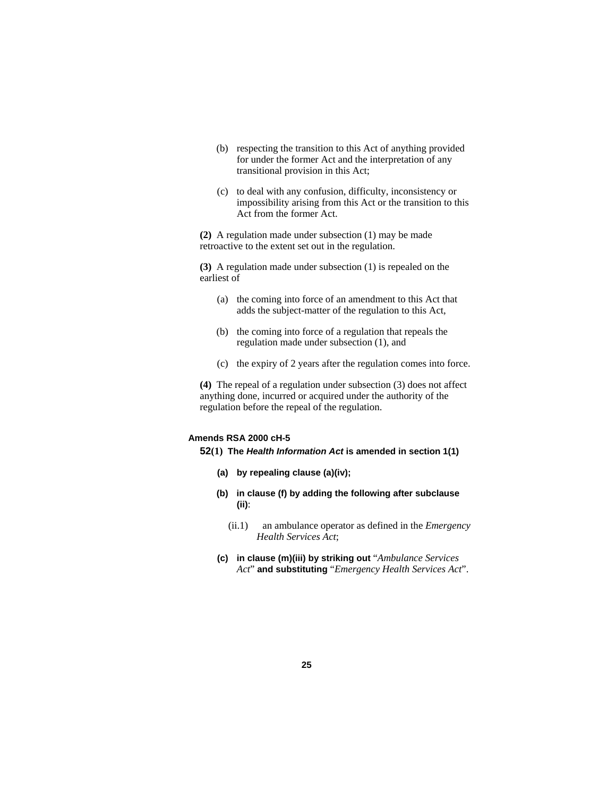- (b) respecting the transition to this Act of anything provided for under the former Act and the interpretation of any transitional provision in this Act;
- (c) to deal with any confusion, difficulty, inconsistency or impossibility arising from this Act or the transition to this Act from the former Act.

**(2)** A regulation made under subsection (1) may be made retroactive to the extent set out in the regulation.

**(3)** A regulation made under subsection (1) is repealed on the earliest of

- (a) the coming into force of an amendment to this Act that adds the subject-matter of the regulation to this Act,
- (b) the coming into force of a regulation that repeals the regulation made under subsection (1), and
- (c) the expiry of 2 years after the regulation comes into force.

**(4)** The repeal of a regulation under subsection (3) does not affect anything done, incurred or acquired under the authority of the regulation before the repeal of the regulation.

#### **Amends RSA 2000 cH-5**

**52(1) The** *Health Information Act* **is amended in section 1(1)**

- **(a) by repealing clause (a)(iv);**
- **(b) in clause (f) by adding the following after subclause (ii)**:
	- (ii.1) an ambulance operator as defined in the *Emergency Health Services Act*;
- **(c) in clause (m)(iii) by striking out** "*Ambulance Services Act*" **and substituting** "*Emergency Health Services Act*".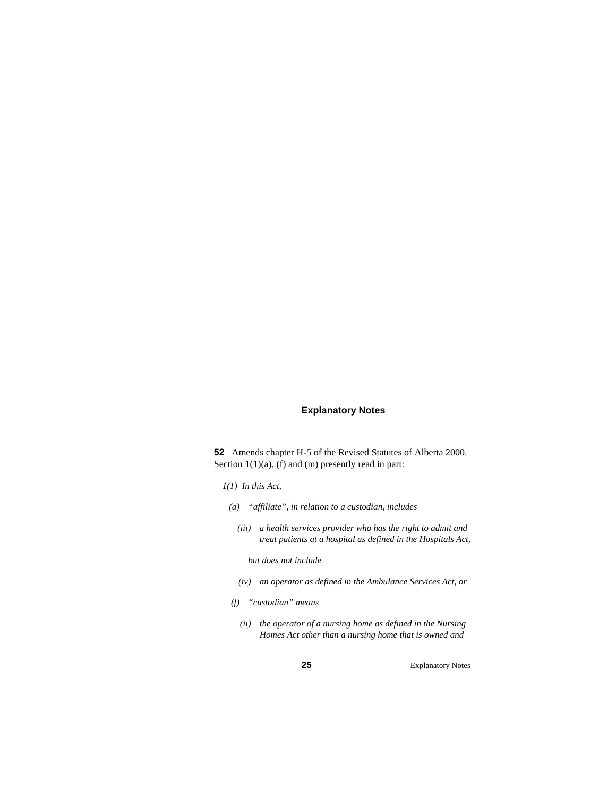#### **Explanatory Notes**

**52** Amends chapter H-5 of the Revised Statutes of Alberta 2000. Section 1(1)(a), (f) and (m) presently read in part:

- *1(1) In this Act,* 
	- *(a) "affiliate", in relation to a custodian, includes* 
		- *(iii) a health services provider who has the right to admit and treat patients at a hospital as defined in the Hospitals Act,*

 *but does not include* 

- *(iv) an operator as defined in the Ambulance Services Act, or*
- *(f) "custodian" means* 
	- *(ii) the operator of a nursing home as defined in the Nursing Homes Act other than a nursing home that is owned and*

**25** Explanatory Notes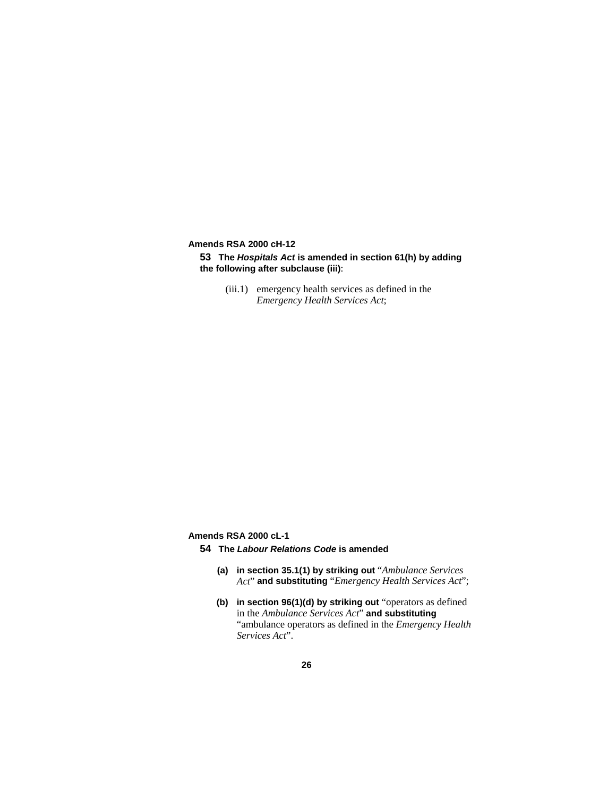**Amends RSA 2000 cH-12** 

**53 The** *Hospitals Act* **is amended in section 61(h) by adding the following after subclause (iii)**:

> (iii.1) emergency health services as defined in the *Emergency Health Services Act*;

**Amends RSA 2000 cL-1** 

- **54 The** *Labour Relations Code* **is amended** 
	- **(a) in section 35.1(1) by striking out** "*Ambulance Services Act*" **and substituting** "*Emergency Health Services Act*";
	- **(b) in section 96(1)(d) by striking out** "operators as defined in the *Ambulance Services Act*" **and substituting**  "ambulance operators as defined in the *Emergency Health Services Act*".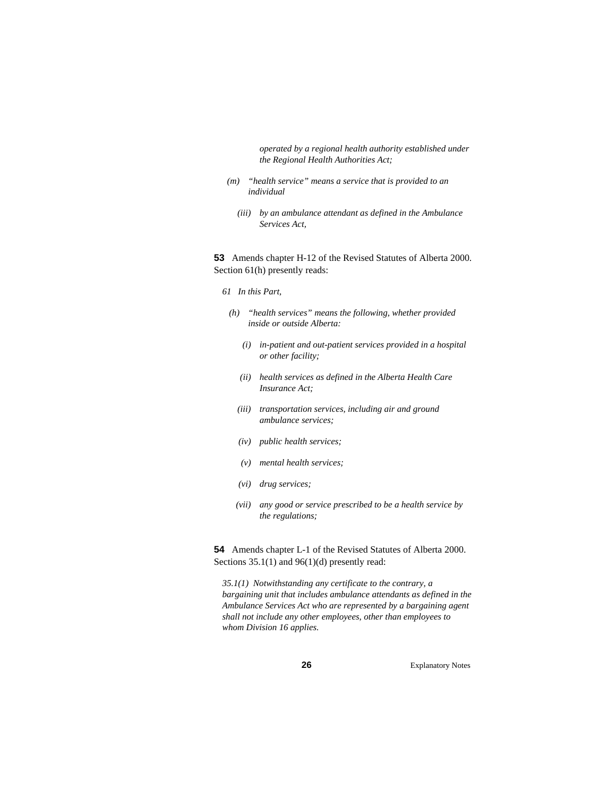*operated by a regional health authority established under the Regional Health Authorities Act;* 

- *(m) "health service" means a service that is provided to an individual* 
	- *(iii) by an ambulance attendant as defined in the Ambulance Services Act,*

**53** Amends chapter H-12 of the Revised Statutes of Alberta 2000. Section 61(h) presently reads:

#### *61 In this Part,*

- *(h) "health services" means the following, whether provided inside or outside Alberta:* 
	- *(i) in-patient and out-patient services provided in a hospital or other facility;*
	- *(ii) health services as defined in the Alberta Health Care Insurance Act;*
	- *(iii) transportation services, including air and ground ambulance services;*
	- *(iv) public health services;*
	- *(v) mental health services;*
	- *(vi) drug services;*
	- *(vii) any good or service prescribed to be a health service by the regulations;*

**54** Amends chapter L-1 of the Revised Statutes of Alberta 2000. Sections 35.1(1) and 96(1)(d) presently read:

*35.1(1) Notwithstanding any certificate to the contrary, a bargaining unit that includes ambulance attendants as defined in the Ambulance Services Act who are represented by a bargaining agent shall not include any other employees, other than employees to whom Division 16 applies.* 

**26** Explanatory Notes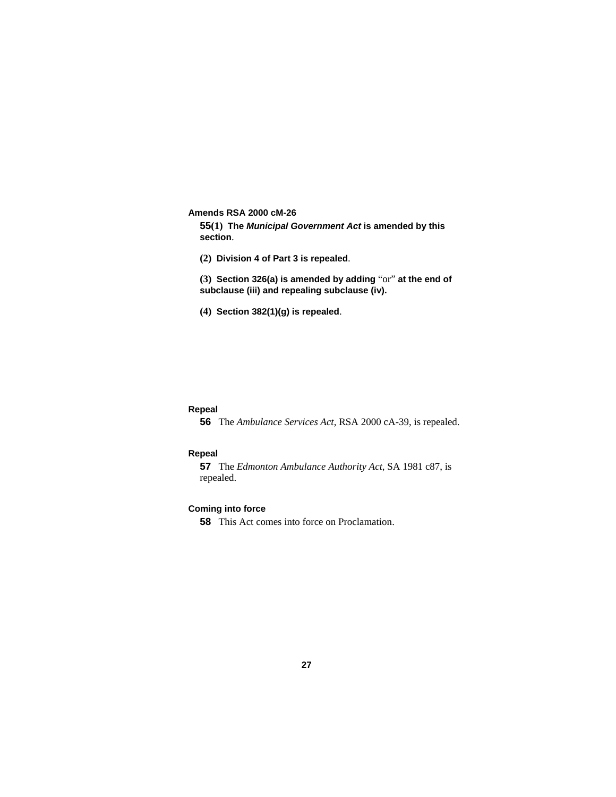**Amends RSA 2000 cM-26** 

**55(1) The** *Municipal Government Act* **is amended by this section**.

**(2) Division 4 of Part 3 is repealed**.

**(3) Section 326(a) is amended by adding** "or" **at the end of subclause (iii) and repealing subclause (iv).** 

**(4) Section 382(1)(g) is repealed**.

#### **Repeal**

**56** The *Ambulance Services Act*, RSA 2000 cA-39, is repealed.

#### **Repeal**

**57** The *Edmonton Ambulance Authority Act*, SA 1981 c87, is repealed.

#### **Coming into force**

**58** This Act comes into force on Proclamation.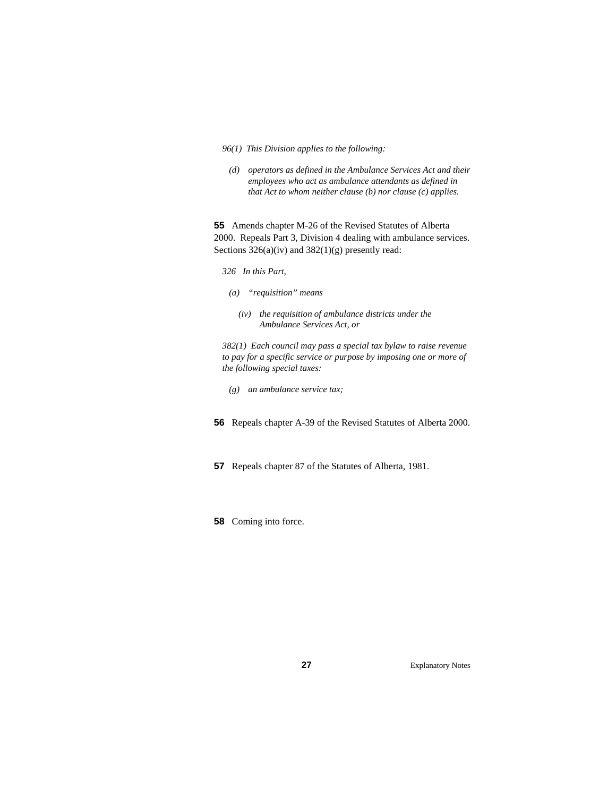- *96(1) This Division applies to the following:*
- *(d) operators as defined in the Ambulance Services Act and their employees who act as ambulance attendants as defined in that Act to whom neither clause (b) nor clause (c) applies.*

**55** Amends chapter M-26 of the Revised Statutes of Alberta 2000. Repeals Part 3, Division 4 dealing with ambulance services. Sections  $326(a)(iv)$  and  $382(1)(g)$  presently read:

- *326 In this Part,*
- *(a) "requisition" means* 
	- *(iv) the requisition of ambulance districts under the Ambulance Services Act, or*

*382(1) Each council may pass a special tax bylaw to raise revenue to pay for a specific service or purpose by imposing one or more of the following special taxes:* 

- *(g) an ambulance service tax;*
- **56** Repeals chapter A-39 of the Revised Statutes of Alberta 2000.
- **57** Repeals chapter 87 of the Statutes of Alberta, 1981.
- **58** Coming into force.

**27** Explanatory Notes